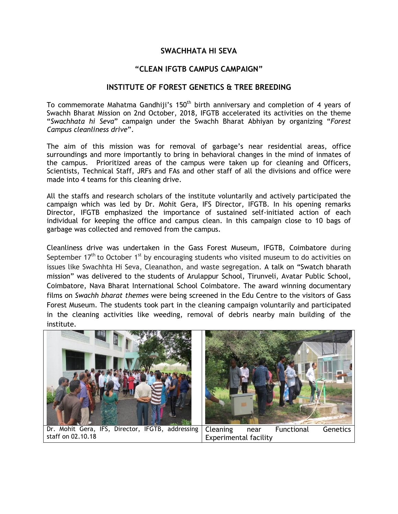## **SWACHHATA HI SEVA**

## **"CLEAN IFGTB CAMPUS CAMPAIGN"**

## **INSTITUTE OF FOREST GENETICS & TREE BREEDING**

To commemorate Mahatma Gandhiji's 150<sup>th</sup> birth anniversary and completion of 4 years of Swachh Bharat Mission on 2nd October, 2018, IFGTB accelerated its activities on the theme "*Swachhata hi Seva*" campaign under the Swachh Bharat Abhiyan by organizing "*Forest Campus cleanliness drive*".

The aim of this mission was for removal of garbage's near residential areas, office surroundings and more importantly to bring in behavioral changes in the mind of inmates of the campus. Prioritized areas of the campus were taken up for cleaning and Officers, Scientists, Technical Staff, JRFs and FAs and other staff of all the divisions and office were made into 4 teams for this cleaning drive.

All the staffs and research scholars of the institute voluntarily and actively participated the campaign which was led by Dr. Mohit Gera, IFS Director, IFGTB. In his opening remarks Director, IFGTB emphasized the importance of sustained self-initiated action of each individual for keeping the office and campus clean. In this campaign close to 10 bags of garbage was collected and removed from the campus.

Cleanliness drive was undertaken in the Gass Forest Museum, IFGTB, Coimbatore during September 17<sup>th</sup> to October 1<sup>st</sup> by encouraging students who visited museum to do activities on issues like Swachhta Hi Seva, Cleanathon, and waste segregation. A talk on "Swatch bharath mission" was delivered to the students of Arulappur School, Tirunveli, Avatar Public School, Coimbatore, Nava Bharat International School Coimbatore. The award winning documentary films on *Swachh bharat themes* were being screened in the Edu Centre to the visitors of Gass Forest Museum. The students took part in the cleaning campaign voluntarily and participated in the cleaning activities like weeding, removal of debris nearby main building of the institute.